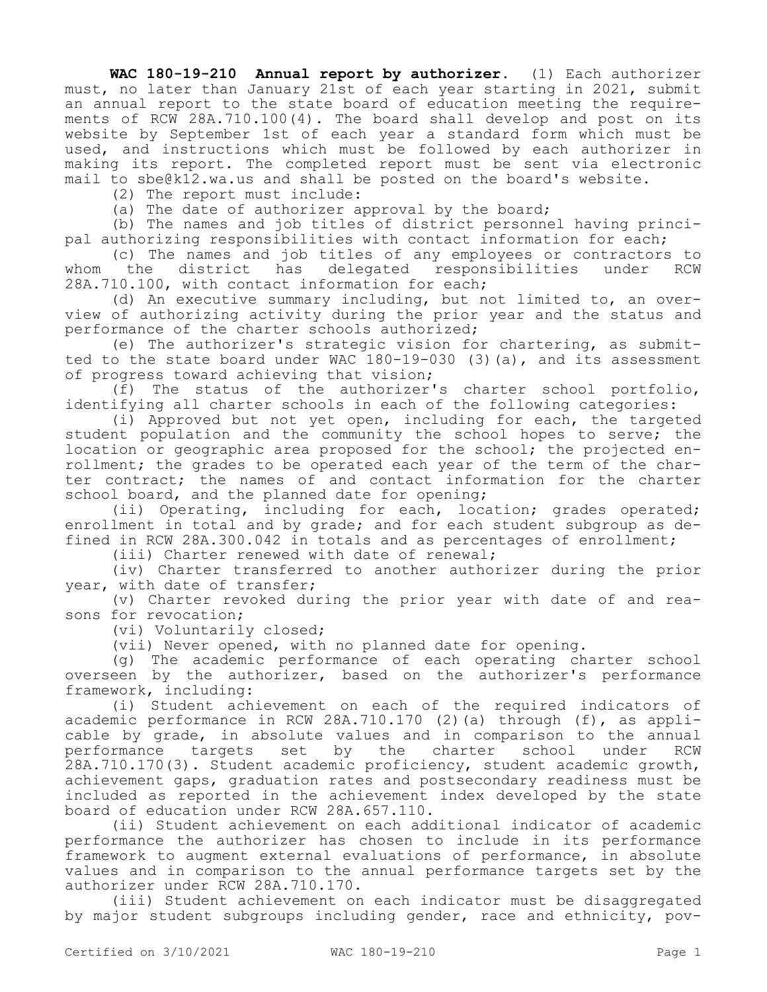**WAC 180-19-210 Annual report by authorizer.** (1) Each authorizer must, no later than January 21st of each year starting in 2021, submit an annual report to the state board of education meeting the requirements of RCW 28A.710.100(4). The board shall develop and post on its website by September 1st of each year a standard form which must be used, and instructions which must be followed by each authorizer in making its report. The completed report must be sent via electronic mail to sbe@k12.wa.us and shall be posted on the board's website.

(2) The report must include:

(a) The date of authorizer approval by the board;

(b) The names and job titles of district personnel having principal authorizing responsibilities with contact information for each;

(c) The names and job titles of any employees or contractors to<br>the district has delegated responsibilities under RCW whom the district has delegated responsibilities under RCW 28A.710.100, with contact information for each;

(d) An executive summary including, but not limited to, an overview of authorizing activity during the prior year and the status and performance of the charter schools authorized;

(e) The authorizer's strategic vision for chartering, as submitted to the state board under WAC 180-19-030 (3)(a), and its assessment of progress toward achieving that vision;

(f) The status of the authorizer's charter school portfolio, identifying all charter schools in each of the following categories:

(i) Approved but not yet open, including for each, the targeted student population and the community the school hopes to serve; the location or geographic area proposed for the school; the projected enrollment; the grades to be operated each year of the term of the charter contract; the names of and contact information for the charter school board, and the planned date for opening;

(ii) Operating, including for each, location; grades operated; enrollment in total and by grade; and for each student subgroup as defined in RCW 28A.300.042 in totals and as percentages of enrollment;

(iii) Charter renewed with date of renewal;

(iv) Charter transferred to another authorizer during the prior year, with date of transfer;

(v) Charter revoked during the prior year with date of and reasons for revocation;

(vi) Voluntarily closed;

(vii) Never opened, with no planned date for opening.

(g) The academic performance of each operating charter school overseen by the authorizer, based on the authorizer's performance framework, including:

(i) Student achievement on each of the required indicators of academic performance in RCW 28A.710.170 (2)(a) through (f), as applicable by grade, in absolute values and in comparison to the annual performance targets set by the charter school under RCW 28A.710.170(3). Student academic proficiency, student academic growth, achievement gaps, graduation rates and postsecondary readiness must be included as reported in the achievement index developed by the state board of education under RCW 28A.657.110.

(ii) Student achievement on each additional indicator of academic performance the authorizer has chosen to include in its performance framework to augment external evaluations of performance, in absolute values and in comparison to the annual performance targets set by the authorizer under RCW 28A.710.170.

(iii) Student achievement on each indicator must be disaggregated by major student subgroups including gender, race and ethnicity, pov